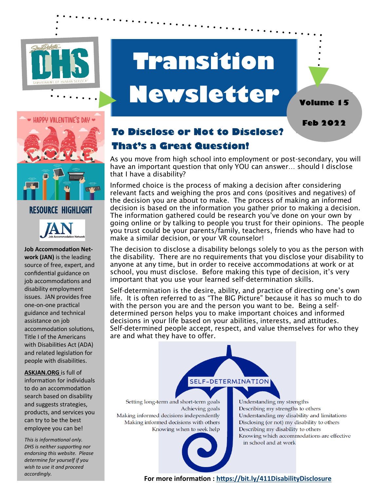

# **Transition Newsletter**





### RESOURCE HIGHLIGHT



**Job Accommodation Network (JAN)** is the leading source of free, expert, and confidential guidance on job accommodations and disability employment issues. JAN provides free one-on-one practical guidance and technical assistance on job accommodation solutions, Title I of the Americans with Disabilities Act (ADA) and related legislation for people with disabilities.

**ASKJAN.ORG** is full of information for individuals to do an accommodation search based on disability and suggests strategies, products, and services you can try to be the best employee you can be!

*This is informational only. DHS is neither supporting nor endorsing this website. Please determine for yourself if you wish to use it and proceed* 

## **To Disclose or Not to Disclose? That's a Great Question!**

As you move from high school into employment or post-secondary, you will have an important question that only YOU can answer… should I disclose that I have a disability?

Informed choice is the process of making a decision after considering relevant facts and weighing the pros and cons (positives and negatives) of the decision you are about to make. The process of making an informed decision is based on the information you gather prior to making a decision. The information gathered could be research you've done on your own by going online or by talking to people you trust for their opinions. The people you trust could be your parents/family, teachers, friends who have had to make a similar decision, or your VR counselor!

The decision to disclose a disability belongs solely to you as the person with the disability. There are no requirements that you disclose your disability to anyone at any time, but in order to receive accommodations at work or at school, you must disclose. Before making this type of decision, it's very important that you use your learned self-determination skills.

Self-determination is the desire, ability, and practice of directing one's own life. It is often referred to as "The BIG Picture" because it has so much to do with the person you are and the person you want to be. Being a selfdetermined person helps you to make important choices and informed decisions in your life based on your abilities, interests, and attitudes. Self-determined people accept, respect, and value themselves for who they are and what they have to offer.

SELF-DETERMINATION

Setting long-term and short-term goals Achieving goals Making informed decisions independently Making informed decisions with others Knowing when to seek help

Understanding my strengths Describing my strengths to others Understanding my disability and limitations Disclosing (or not) my disability to others Describing my disability to others Knowing which accommodations are effective in school and at work

*accordingly.* **For more information : https://bit.ly/411DisabilityDisclosure**